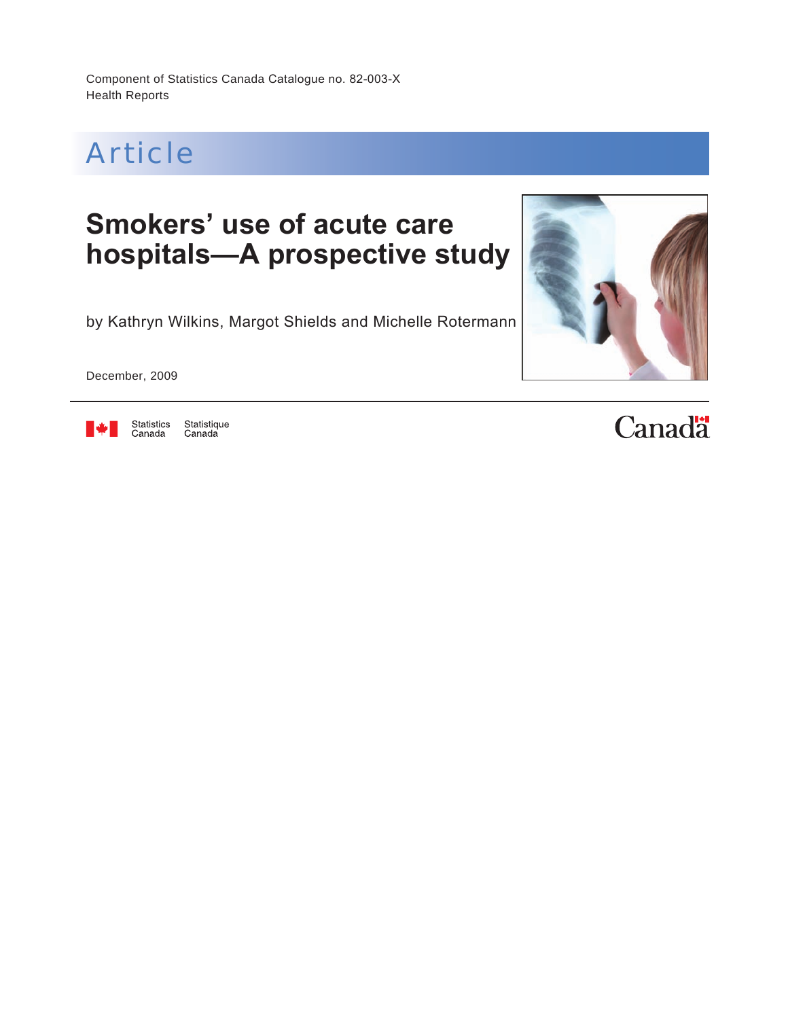Component of Statistics Canada Catalogue no. 82-003-X Health Reports



# **Smokers' use of acute care hospitals—A prospective study**

by Kathryn Wilkins, Margot Shields and Michelle Rotermann

December, 2009



Statistics<br>Canada Statistique<br>Canada

# **Canadä**

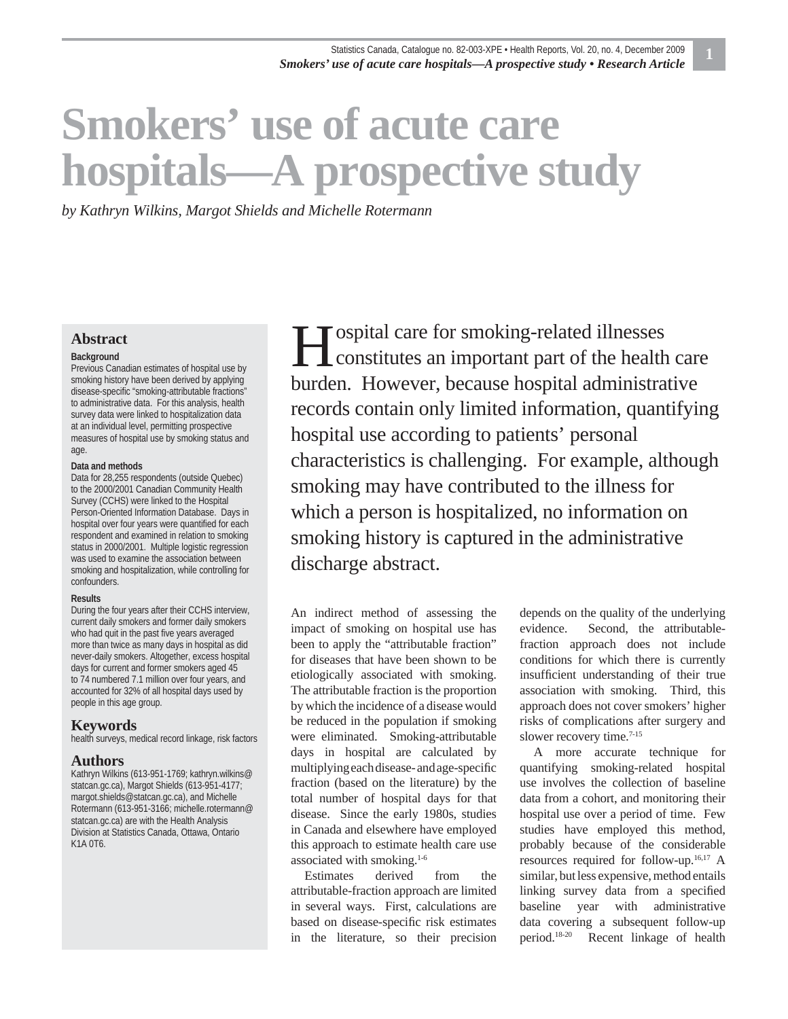# **Smokers' use of acute care hospitals—A prospective study**

*by Kathryn Wilkins, Margot Shields and Michelle Rotermann*

#### **Abstract**

#### **Background**

Previous Canadian estimates of hospital use by smoking history have been derived by applying disease-specific "smoking-attributable fractions" to administrative data. For this analysis, health survey data were linked to hospitalization data at an individual level, permitting prospective measures of hospital use by smoking status and age.

#### **Data and methods**

Data for 28,255 respondents (outside Quebec) to the 2000/2001 Canadian Community Health Survey (CCHS) were linked to the Hospital Person-Oriented Information Database. Days in hospital over four years were quantified for each respondent and examined in relation to smoking status in 2000/2001. Multiple logistic regression was used to examine the association between smoking and hospitalization, while controlling for confounders.

#### **Results**

During the four years after their CCHS interview, current daily smokers and former daily smokers who had quit in the past five years averaged more than twice as many days in hospital as did never-daily smokers. Altogether, excess hospital days for current and former smokers aged 45 to 74 numbered 7.1 million over four years, and accounted for 32% of all hospital days used by people in this age group.

#### **Keywords**

health surveys, medical record linkage, risk factors

#### **Authors**

Kathryn Wilkins (613-951-1769; kathryn.wilkins@ statcan.gc.ca), Margot Shields (613-951-4177; margot.shields@statcan.gc.ca), and Michelle Rotermann (613-951-3166; michelle.rotermann@ statcan.gc.ca) are with the Health Analysis Division at Statistics Canada, Ottawa, Ontario K1A 0T6.

ospital care for smoking-related illnesses Solution Constitutes an important part of the health care burden. However, because hospital administrative records contain only limited information, quantifying hospital use according to patients' personal characteristics is challenging. For example, although smoking may have contributed to the illness for which a person is hospitalized, no information on smoking history is captured in the administrative discharge abstract.

An indirect method of assessing the impact of smoking on hospital use has been to apply the "attributable fraction" for diseases that have been shown to be etiologically associated with smoking. The attributable fraction is the proportion by which the incidence of a disease would be reduced in the population if smoking were eliminated. Smoking-attributable days in hospital are calculated by multiplying each disease- and age-specific fraction (based on the literature) by the total number of hospital days for that disease. Since the early 1980s, studies in Canada and elsewhere have employed this approach to estimate health care use associated with smoking.1-6

Estimates derived from the attributable-fraction approach are limited in several ways. First, calculations are based on disease-specific risk estimates in the literature, so their precision depends on the quality of the underlying evidence. Second, the attributablefraction approach does not include conditions for which there is currently insufficient understanding of their true association with smoking. Third, this approach does not cover smokers' higher risks of complications after surgery and slower recovery time.<sup>7-15</sup>

A more accurate technique for quantifying smoking-related hospital use involves the collection of baseline data from a cohort, and monitoring their hospital use over a period of time. Few studies have employed this method, probably because of the considerable resources required for follow-up.16,17 A similar, but less expensive, method entails linking survey data from a specified baseline year with administrative data covering a subsequent follow-up period.18-20 Recent linkage of health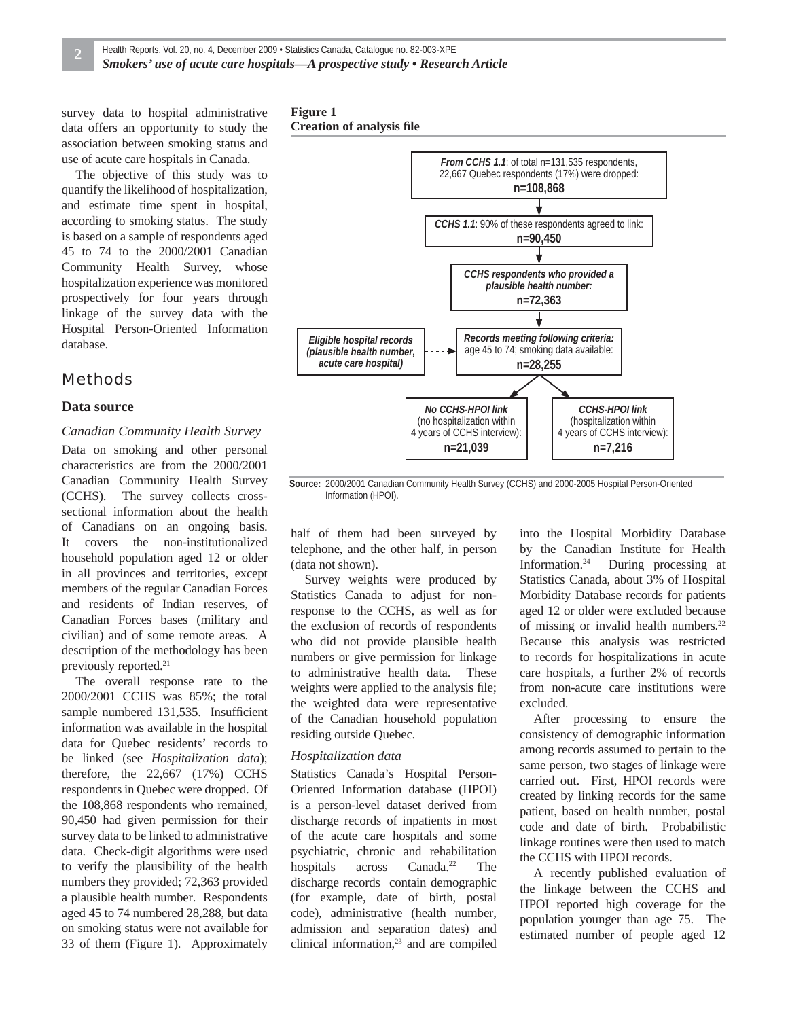survey data to hospital administrative data offers an opportunity to study the association between smoking status and use of acute care hospitals in Canada.

The objective of this study was to quantify the likelihood of hospitalization, and estimate time spent in hospital, according to smoking status. The study is based on a sample of respondents aged 45 to 74 to the 2000/2001 Canadian Community Health Survey, whose hospitalization experience was monitored prospectively for four years through linkage of the survey data with the Hospital Person-Oriented Information database.

### Methods

#### **Data source**

#### *Canadian Community Health Survey*

Data on smoking and other personal characteristics are from the 2000/2001 Canadian Community Health Survey (CCHS). The survey collects crosssectional information about the health of Canadians on an ongoing basis. It covers the non-institutionalized household population aged 12 or older in all provinces and territories, except members of the regular Canadian Forces and residents of Indian reserves, of Canadian Forces bases (military and civilian) and of some remote areas. A description of the methodology has been previously reported.21

The overall response rate to the 2000/2001 CCHS was 85%; the total sample numbered 131,535. Insufficient information was available in the hospital data for Quebec residents' records to be linked (see *Hospitalization data*); therefore, the 22,667 (17%) CCHS respondents in Quebec were dropped. Of the 108,868 respondents who remained, 90,450 had given permission for their survey data to be linked to administrative data. Check-digit algorithms were used to verify the plausibility of the health numbers they provided; 72,363 provided a plausible health number. Respondents aged 45 to 74 numbered 28,288, but data on smoking status were not available for 33 of them (Figure 1). Approximately





**Source:** 2000/2001 Canadian Community Health Survey (CCHS) and 2000-2005 Hospital Person-Oriented Information (HPOI).

half of them had been surveyed by telephone, and the other half, in person (data not shown).

Survey weights were produced by Statistics Canada to adjust for nonresponse to the CCHS, as well as for the exclusion of records of respondents who did not provide plausible health numbers or give permission for linkage to administrative health data. These weights were applied to the analysis file; the weighted data were representative of the Canadian household population residing outside Quebec.

#### *Hospitalization data*

Statistics Canada's Hospital Person-Oriented Information database (HPOI) is a person-level dataset derived from discharge records of inpatients in most of the acute care hospitals and some psychiatric, chronic and rehabilitation hospitals across Canada.<sup>22</sup> The discharge records contain demographic (for example, date of birth, postal code), administrative (health number, admission and separation dates) and clinical information,23 and are compiled into the Hospital Morbidity Database by the Canadian Institute for Health Information.24 During processing at Statistics Canada, about 3% of Hospital Morbidity Database records for patients aged 12 or older were excluded because of missing or invalid health numbers.<sup>22</sup> Because this analysis was restricted to records for hospitalizations in acute care hospitals, a further 2% of records from non-acute care institutions were excluded.

After processing to ensure the consistency of demographic information among records assumed to pertain to the same person, two stages of linkage were carried out. First, HPOI records were created by linking records for the same patient, based on health number, postal code and date of birth. Probabilistic linkage routines were then used to match the CCHS with HPOI records.

A recently published evaluation of the linkage between the CCHS and HPOI reported high coverage for the population younger than age 75. The estimated number of people aged 12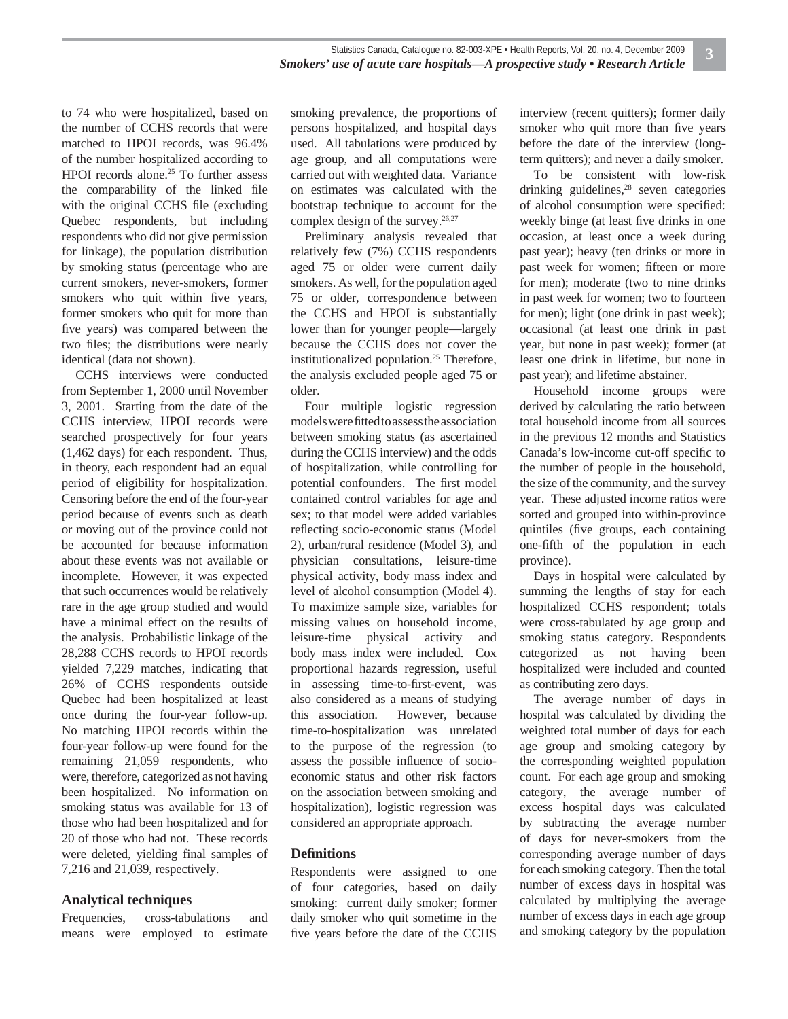to 74 who were hospitalized, based on the number of CCHS records that were matched to HPOI records, was 96.4% of the number hospitalized according to HPOI records alone.<sup>25</sup> To further assess the comparability of the linked file with the original CCHS file (excluding Quebec respondents, but including respondents who did not give permission for linkage), the population distribution by smoking status (percentage who are current smokers, never-smokers, former smokers who quit within five years, former smokers who quit for more than five years) was compared between the two files; the distributions were nearly identical (data not shown).

CCHS interviews were conducted from September 1, 2000 until November 3, 2001. Starting from the date of the CCHS interview, HPOI records were searched prospectively for four years (1,462 days) for each respondent. Thus, in theory, each respondent had an equal period of eligibility for hospitalization. Censoring before the end of the four-year period because of events such as death or moving out of the province could not be accounted for because information about these events was not available or incomplete. However, it was expected that such occurrences would be relatively rare in the age group studied and would have a minimal effect on the results of the analysis. Probabilistic linkage of the 28,288 CCHS records to HPOI records yielded 7,229 matches, indicating that 26% of CCHS respondents outside Quebec had been hospitalized at least once during the four-year follow-up. No matching HPOI records within the four-year follow-up were found for the remaining 21,059 respondents, who were, therefore, categorized as not having been hospitalized. No information on smoking status was available for 13 of those who had been hospitalized and for 20 of those who had not. These records were deleted, yielding final samples of 7,216 and 21,039, respectively.

#### **Analytical techniques**

Frequencies, cross-tabulations and means were employed to estimate smoking prevalence, the proportions of persons hospitalized, and hospital days used. All tabulations were produced by age group, and all computations were carried out with weighted data. Variance on estimates was calculated with the bootstrap technique to account for the complex design of the survey. $26,27$ 

Preliminary analysis revealed that relatively few (7%) CCHS respondents aged 75 or older were current daily smokers. As well, for the population aged 75 or older, correspondence between the CCHS and HPOI is substantially lower than for younger people—largely because the CCHS does not cover the institutionalized population.<sup>25</sup> Therefore, the analysis excluded people aged 75 or older.

Four multiple logistic regression models were fitted to assess the association between smoking status (as ascertained during the CCHS interview) and the odds of hospitalization, while controlling for potential confounders. The first model contained control variables for age and sex; to that model were added variables reflecting socio-economic status (Model 2), urban/rural residence (Model 3), and physician consultations, leisure-time physical activity, body mass index and level of alcohol consumption (Model 4). To maximize sample size, variables for missing values on household income, leisure-time physical activity and body mass index were included. Cox proportional hazards regression, useful in assessing time-to-first-event, was also considered as a means of studying this association. However, because time-to-hospitalization was unrelated to the purpose of the regression (to assess the possible influence of socioeconomic status and other risk factors on the association between smoking and hospitalization), logistic regression was considered an appropriate approach.

#### **Defi nitions**

Respondents were assigned to one of four categories, based on daily smoking: current daily smoker; former daily smoker who quit sometime in the five years before the date of the CCHS

interview (recent quitters); former daily smoker who quit more than five years before the date of the interview (longterm quitters); and never a daily smoker.

To be consistent with low-risk drinking guidelines, $28$  seven categories of alcohol consumption were specified: weekly binge (at least five drinks in one occasion, at least once a week during past year); heavy (ten drinks or more in past week for women; fifteen or more for men); moderate (two to nine drinks in past week for women; two to fourteen for men); light (one drink in past week); occasional (at least one drink in past year, but none in past week); former (at least one drink in lifetime, but none in past year); and lifetime abstainer.

Household income groups were derived by calculating the ratio between total household income from all sources in the previous 12 months and Statistics Canada's low-income cut-off specific to the number of people in the household, the size of the community, and the survey year. These adjusted income ratios were sorted and grouped into within-province quintiles (five groups, each containing one-fifth of the population in each province).

Days in hospital were calculated by summing the lengths of stay for each hospitalized CCHS respondent; totals were cross-tabulated by age group and smoking status category. Respondents categorized as not having been hospitalized were included and counted as contributing zero days.

The average number of days in hospital was calculated by dividing the weighted total number of days for each age group and smoking category by the corresponding weighted population count. For each age group and smoking category, the average number of excess hospital days was calculated by subtracting the average number of days for never-smokers from the corresponding average number of days for each smoking category. Then the total number of excess days in hospital was calculated by multiplying the average number of excess days in each age group and smoking category by the population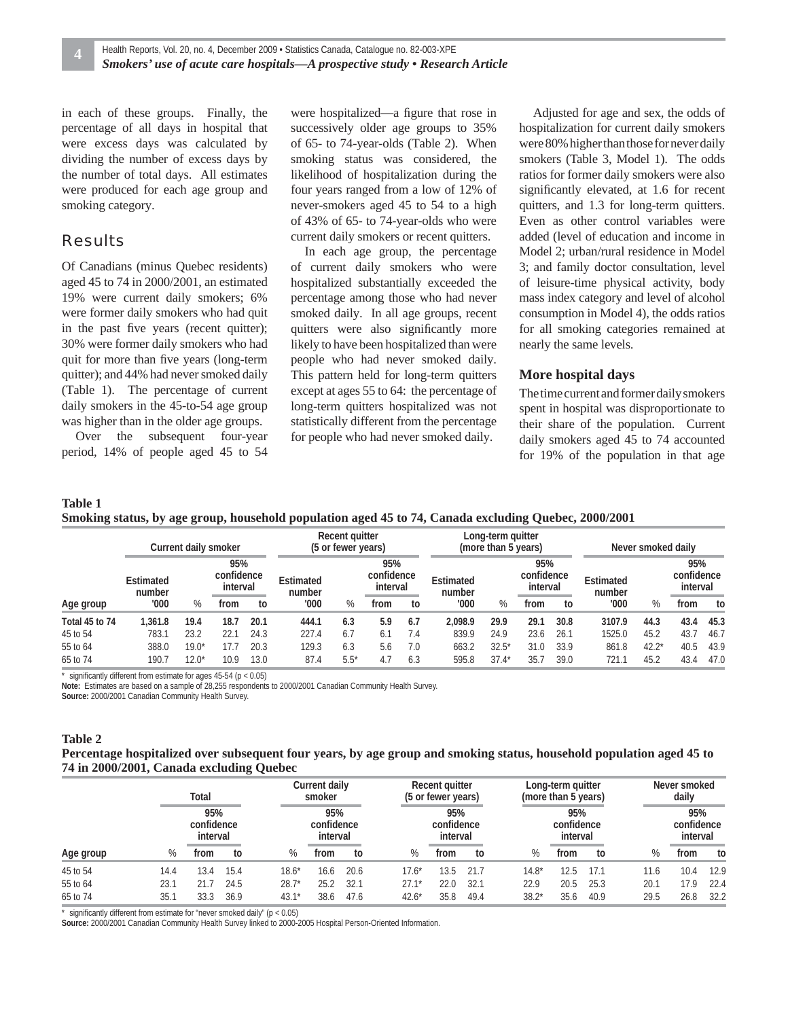in each of these groups. Finally, the percentage of all days in hospital that were excess days was calculated by dividing the number of excess days by the number of total days. All estimates were produced for each age group and smoking category.

#### Results

Of Canadians (minus Quebec residents) aged 45 to 74 in 2000/2001, an estimated 19% were current daily smokers; 6% were former daily smokers who had quit in the past five years (recent quitter); 30% were former daily smokers who had quit for more than five years (long-term quitter); and 44% had never smoked daily (Table 1). The percentage of current daily smokers in the 45-to-54 age group was higher than in the older age groups.

Over the subsequent four-year period, 14% of people aged 45 to 54

were hospitalized—a figure that rose in successively older age groups to 35% of 65- to 74-year-olds (Table 2). When smoking status was considered, the likelihood of hospitalization during the four years ranged from a low of 12% of never-smokers aged 45 to 54 to a high of 43% of 65- to 74-year-olds who were current daily smokers or recent quitters.

In each age group, the percentage of current daily smokers who were hospitalized substantially exceeded the percentage among those who had never smoked daily. In all age groups, recent quitters were also significantly more likely to have been hospitalized than were people who had never smoked daily. This pattern held for long-term quitters except at ages 55 to 64: the percentage of long-term quitters hospitalized was not statistically different from the percentage for people who had never smoked daily.

Adjusted for age and sex, the odds of hospitalization for current daily smokers were 80% higher than those for never daily smokers (Table 3, Model 1). The odds ratios for former daily smokers were also significantly elevated, at 1.6 for recent quitters, and 1.3 for long-term quitters. Even as other control variables were added (level of education and income in Model 2; urban/rural residence in Model 3; and family doctor consultation, level of leisure-time physical activity, body mass index category and level of alcohol consumption in Model 4), the odds ratios for all smoking categories remained at nearly the same levels.

#### **More hospital days**

The time current and former daily smokers spent in hospital was disproportionate to their share of the population. Current daily smokers aged 45 to 74 accounted for 19% of the population in that age

#### **Table 1 Smoking status, by age group, household population aged 45 to 74, Canada excluding Quebec, 2000/2001**

|                |                     |         | Current daily smoker                                                                  | Recent quitter<br>(5 or fewer years) |       |                     |                               | Long-term quitter<br>(more than 5 years) |         |                     |      | Never smoked daily            |        |         |      |      |
|----------------|---------------------|---------|---------------------------------------------------------------------------------------|--------------------------------------|-------|---------------------|-------------------------------|------------------------------------------|---------|---------------------|------|-------------------------------|--------|---------|------|------|
|                | Estimated<br>number |         | 95%<br>95%<br>confidence<br>confidence<br>Estimated<br>interval<br>interval<br>number |                                      |       | Estimated<br>number | 95%<br>confidence<br>interval |                                          |         | Estimated<br>number |      | 95%<br>confidence<br>interval |        |         |      |      |
| Age group      | '000'               | %       | trom                                                                                  | to                                   | '000  | %                   | from                          | to                                       | '000'   | %                   | from | to                            | '000   | %       | from | to   |
| Total 45 to 74 | 1.361.8             | 19.4    | 18.7                                                                                  | 20.1                                 | 444.1 | 6.3                 | 5.9                           | 6.7                                      | 2.098.9 | 29.9                | 29.1 | 30.8                          | 3107.9 | 44.3    | 43.4 | 45.3 |
| 45 to 54       | 783.1               | 23.2    | 22.1                                                                                  | 24.3                                 | 227.4 | 6.7                 | 6.1                           | 7.4                                      | 839.9   | 24.9                | 23.6 | 26.1                          | 1525.0 | 45.2    | 43.7 | 46.7 |
| 55 to 64       | 388.0               | $19.0*$ |                                                                                       | 20.3                                 | 129.3 | 6.3                 | 5.6                           | 7.0                                      | 663.2   | $32.5*$             | 31.0 | 33.9                          | 861.8  | $42.2*$ | 40.5 | 43.9 |
| 65 to 74       | 190.                | 12.0*   | 10.9                                                                                  | 13.0                                 | 87.4  | $5.5*$              | 4.7                           | 6.3                                      | 595.8   | $37.4*$             | 35.  | 39.0                          | 721.1  | 45.2    | 43.4 | 47.0 |

significantly different from estimate for ages  $45-54$  (p < 0.05)

**Note:** Estimates are based on a sample of 28,255 respondents to 2000/2001 Canadian Community Health Survey.

**Source:** 2000/2001 Canadian Community Health Survey.

#### **Table 2**

#### **Percentage hospitalized over subsequent four years, by age group and smoking status, household population aged 45 to 74 in 2000/2001, Canada excluding Quebec**

|           |      | Total                         |      |                               | Current daily<br>smoker |      |                               | Recent quitter<br>(5 or fewer years) |      |      |                               | Long-term quitter<br>(more than 5 years) |      |      | Never smoked<br>daily |                               |  |
|-----------|------|-------------------------------|------|-------------------------------|-------------------------|------|-------------------------------|--------------------------------------|------|------|-------------------------------|------------------------------------------|------|------|-----------------------|-------------------------------|--|
|           |      | 95%<br>confidence<br>interval |      | 95%<br>confidence<br>interval |                         |      | 95%<br>confidence<br>interval |                                      |      |      | 95%<br>confidence<br>interval |                                          |      |      |                       | 95%<br>confidence<br>interval |  |
| Age group | %    | from                          | to   | %                             | from                    | to   |                               | %                                    | from | to   | %                             | from                                     | to   | $\%$ | from                  | to                            |  |
| 45 to 54  | 14.4 | 3.4                           | 15.4 | $18.6*$                       | 16.6                    | 20.6 |                               | $17.6*$                              | 13.5 | 21.7 | 14.8*                         | 12.5                                     | 17.1 | 11.6 | 10.4                  | 12.9                          |  |
| 55 to 64  | 23.1 | 21.7                          | 24.5 | $28.7*$                       | 25.2                    | 32.1 |                               | $27.1*$                              | 22.0 | 32.1 | 22.9                          | 20.5                                     | 25.3 | 20.1 | 17.9                  | 22.4                          |  |
| 65 to 74  | 35.1 | 33.3                          | 36.9 | $43.1*$                       | 38.6                    | 47.6 |                               | $42.6*$                              | 35.8 | 49.4 | $38.2*$                       | 35.6                                     | 40.9 | 29.5 | 26.8                  | 32.2                          |  |

\* significantly different from estimate for "never smoked daily" ( $p < 0.05$ )

**Source:** 2000/2001 Canadian Community Health Survey linked to 2000-2005 Hospital Person-Oriented Information.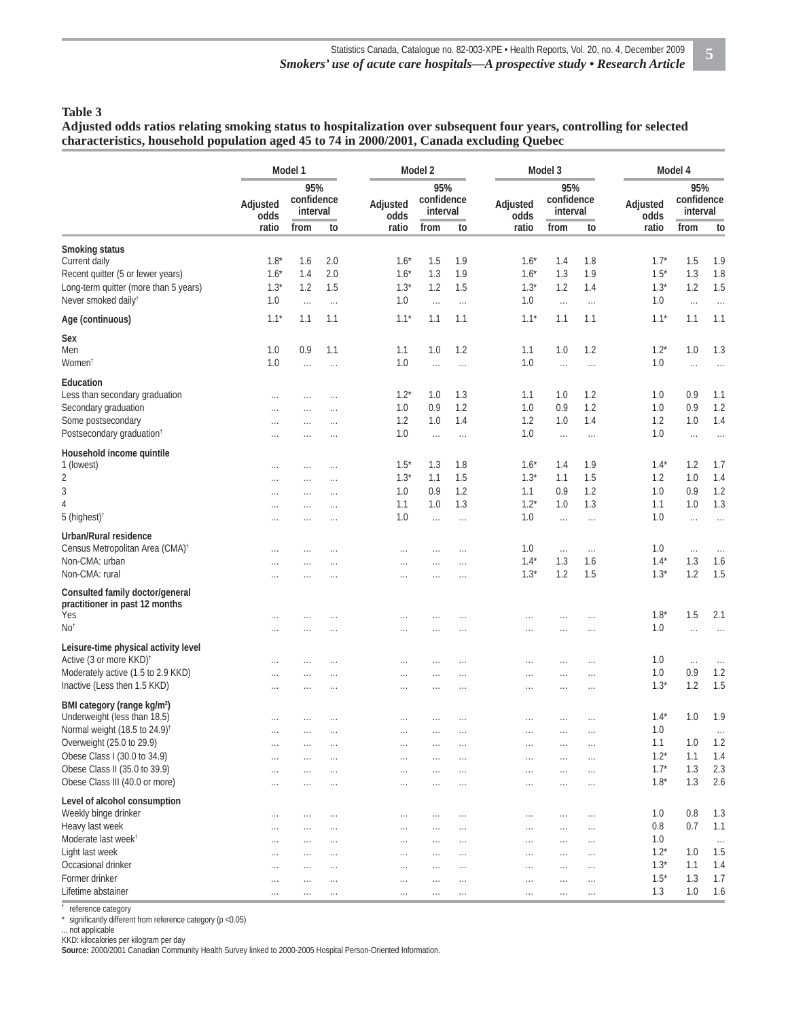#### **Table 3**

**Adjusted odds ratios relating smoking status to hospitalization over subsequent four years, controlling for selected characteristics, household population aged 45 to 74 in 2000/2001, Canada excluding Quebec**

|                                                                             | Model 1          |                               |                      |                  | Model 2                       |          |                  | Model 3                       |          | Model 4          |                               |          |  |
|-----------------------------------------------------------------------------|------------------|-------------------------------|----------------------|------------------|-------------------------------|----------|------------------|-------------------------------|----------|------------------|-------------------------------|----------|--|
|                                                                             | Adjusted<br>odds | 95%<br>confidence<br>interval |                      | Adjusted<br>odds | 95%<br>confidence<br>interval |          | Adjusted<br>odds | 95%<br>confidence<br>interval |          | Adjusted<br>odds | 95%<br>confidence<br>interval |          |  |
|                                                                             | ratio            | from                          | to                   | ratio            | from                          | to       | ratio            | from                          | to       | ratio            | from                          | to       |  |
| Smoking status                                                              |                  |                               |                      |                  |                               |          |                  |                               |          |                  |                               |          |  |
| Current daily                                                               | $1.8*$           | 1.6                           | 2.0                  | $1.6*$           | 1.5                           | 1.9      | $1.6*$           | 1.4                           | 1.8      | $1.7^*$          | 1.5                           | 1.9      |  |
| Recent quitter (5 or fewer years)                                           | $1.6*$           | 1.4                           | 2.0                  | $1.6*$           | 1.3                           | 1.9      | $1.6*$           | 1.3                           | 1.9      | $1.5*$           | 1.3                           | 1.8      |  |
| Long-term quitter (more than 5 years)                                       | $1.3*$           | 1.2                           | 1.5                  | $1.3*$           | 1.2                           | 1.5      | $1.3*$           | 1.2                           | 1.4      | $1.3*$           | 1.2                           | 1.5      |  |
| Never smoked daily <sup>t</sup>                                             | 1.0              | $\ldots$                      | $\cdots$             | 1.0              | $\ldots$                      | $\ldots$ | 1.0              | $\ldots$                      | $\ldots$ | 1.0              | $\ldots$                      | $\ldots$ |  |
| Age (continuous)                                                            | $1.1*$           | 1.1                           | 1.1                  | $1.1*$           | 1.1                           | 1.1      | $1.1*$           | 1.1                           | 1.1      | $1.1*$           | 1.1                           | 1.1      |  |
| Sex                                                                         |                  |                               |                      |                  |                               |          |                  |                               |          |                  |                               |          |  |
| Men                                                                         | 1.0              | 0.9                           | 1.1                  | 1.1              | 1.0                           | 1.2      | 1.1              | 1.0                           | 1.2      | $1.2*$           | 1.0                           | 1.3      |  |
| Women†                                                                      | 1.0              | $\ldots$                      |                      | 1.0              | $\cdots$                      | $\cdots$ | 1.0              | $\ldots$                      | $\cdots$ | 1.0              | $\ldots$                      |          |  |
|                                                                             |                  |                               | $\ldots$             |                  |                               |          |                  |                               |          |                  |                               | $\ldots$ |  |
| Education                                                                   |                  |                               |                      |                  |                               |          |                  |                               |          |                  |                               |          |  |
| Less than secondary graduation                                              | $\cdots$         | $\cdots$                      | $\ldots$             | $1.2*$           | 1.0                           | 1.3      | 1.1              | 1.0                           | 1.2      | 1.0              | 0.9                           | 1.1      |  |
| Secondary graduation                                                        | .                | .                             | $\cdots$             | 1.0              | 0.9                           | 1.2      | $1.0\,$          | 0.9                           | 1.2      | 1.0              | 0.9                           | 1.2      |  |
| Some postsecondary                                                          | $\cdots$         | $\cdots$                      | $\cdots$             | 1.2              | 1.0                           | 1.4      | 1.2              | 1.0                           | 1.4      | 1.2              | 1.0                           | 1.4      |  |
| Postsecondary graduation <sup>+</sup>                                       | .                |                               | $\cdots$             | 1.0              | $\cdots$                      | .        | $1.0\,$          | $\cdots$                      | $\cdots$ | 1.0              | $\cdots$                      | $\ldots$ |  |
| Household income quintile                                                   |                  |                               |                      |                  |                               |          |                  |                               |          |                  |                               |          |  |
| 1 (lowest)                                                                  | $\cdots$         | $\cdots$                      | $\cdots$             | $1.5*$           | 1.3                           | 1.8      | $1.6*$           | 1.4                           | 1.9      | $1.4*$           | 1.2                           | 1.7      |  |
| 2                                                                           |                  | $\cdots$                      | $\cdots$             | $1.3*$           | 1.1                           | 1.5      | $1.3*$           | 1.1                           | 1.5      | 1.2              | 1.0                           | 1.4      |  |
| 3                                                                           | $\ldots$         |                               |                      | 1.0              | 0.9                           | 1.2      | 1.1              | 0.9                           | 1.2      | 1.0              | 0.9                           | 1.2      |  |
|                                                                             |                  |                               |                      |                  |                               | 1.3      |                  |                               | 1.3      |                  |                               | 1.3      |  |
| 4                                                                           | .                | .                             | $\cdots$             | 1.1              | 1.0                           |          | $1.2*$           | 1.0                           |          | 1.1              | 1.0                           |          |  |
| 5 (highest) <sup>†</sup>                                                    | $\cdots$         | $\cdots$                      | $\cdots$             | 1.0              | $\cdots$                      | $\cdots$ | $1.0\,$          | $\cdots$                      | $\cdots$ | 1.0              | $\cdots$                      | $\cdots$ |  |
| Urban/Rural residence                                                       |                  |                               |                      |                  |                               |          |                  |                               |          |                  |                               |          |  |
| Census Metropolitan Area (CMA) <sup>+</sup>                                 | .                | $\cdots$                      | $\sim$               | $\ldots$         | $\cdots$                      | $\cdots$ | 1.0              | $\ldots$                      | $\ldots$ | 1.0              | $\ldots$                      | $\ldots$ |  |
| Non-CMA: urban                                                              | .                |                               | $\ddot{\phantom{a}}$ | $\cdots$         | $\cdots$                      | $\cdots$ | $1.4*$           | 1.3                           | 1.6      | $1.4*$           | 1.3                           | 1.6      |  |
| Non-CMA: rural                                                              | .                |                               | $\cdots$             | $\cdots$         | $\cdots$                      | $\cdots$ | $1.3*$           | 1.2                           | 1.5      | $1.3*$           | 1.2                           | 1.5      |  |
| Consulted family doctor/general                                             |                  |                               |                      |                  |                               |          |                  |                               |          |                  |                               |          |  |
| practitioner in past 12 months                                              |                  |                               |                      |                  |                               |          |                  |                               |          |                  |                               |          |  |
| <i>Yes</i>                                                                  |                  |                               |                      |                  |                               |          |                  | .                             |          | $1.8*$           | 1.5                           | 2.1      |  |
| No <sup>†</sup>                                                             |                  |                               |                      | $\cdots$         |                               |          | $\cdots$         | $\ldots$                      | $\cdots$ | 1.0              | $\cdots$                      | $\ldots$ |  |
|                                                                             |                  |                               |                      |                  |                               |          |                  |                               |          |                  |                               |          |  |
| Leisure-time physical activity level<br>Active (3 or more KKD) <sup>+</sup> |                  |                               |                      |                  |                               |          |                  |                               |          |                  |                               |          |  |
|                                                                             | .                | $\cdots$                      | $\cdots$             | $\ldots$         | $\cdots$                      | $\cdots$ | $\cdots$         | $\cdots$                      | $\cdots$ | 1.0              | $\ldots$                      | $\ldots$ |  |
| Moderately active (1.5 to 2.9 KKD)                                          |                  |                               |                      | $\cdots$         |                               |          | $\cdots$         | $\ldots$                      | $\cdots$ | 1.0              | 0.9                           | 1.2      |  |
| Inactive (Less then 1.5 KKD)                                                | .                | .                             | $\sim$               | $\ldots$         | $\cdots$                      | .        | $\cdots$         | $\cdots$                      | $\cdots$ | $1.3*$           | 1.2                           | 1.5      |  |
| BMI category (range kg/m <sup>2</sup> )                                     |                  |                               |                      |                  |                               |          |                  |                               |          |                  |                               |          |  |
| Underweight (less than 18.5)                                                | $\cdots$         | $\cdots$                      | $\cdots$             | $\cdots$         | $\cdots$                      | $\cdots$ | $\cdots$         | $\cdots$                      | $\cdots$ | $1.4*$           | 1.0                           | 1.9      |  |
| Normal weight (18.5 to 24.9) <sup>†</sup>                                   |                  |                               |                      |                  |                               |          |                  | $\cdots$                      |          | 1.0              |                               |          |  |
| Overweight (25.0 to 29.9)                                                   | $\ldots$         | $\cdots$                      | $\cdots$             | $\cdots$         | $\cdots$                      | $\cdots$ | $\cdots$         | $\cdots$                      | $\ldots$ | 1.1              | 1.0                           | 1.2      |  |
| Obese Class I (30.0 to 34.9)                                                | $\ldots$         | $\cdots$                      |                      | $\ldots$         | $\cdots$                      | $\cdots$ | $\cdots$         | $\cdots$                      | $\ldots$ | $1.2*$           | 1.1                           | 1.4      |  |
| Obese Class II (35.0 to 39.9)                                               |                  |                               | $\cdots$             |                  |                               |          |                  |                               |          | $1.7*$           | 1.3                           | 2.3      |  |
|                                                                             |                  | $\cdots$                      | $\sim$               | $\ldots$         | $\cdots$                      | $\cdots$ | $\cdots$         | $\cdots$                      | $\cdots$ |                  |                               |          |  |
| Obese Class III (40.0 or more)                                              | .                | .                             | $\cdots$             | $\cdots$         | $\cdots$                      | .        | $\cdots$         | $\cdots$                      | $\ldots$ | $1.8*$           | 1.3                           | 2.6      |  |
| Level of alcohol consumption                                                |                  |                               |                      |                  |                               |          |                  |                               |          |                  |                               |          |  |
| Weekly binge drinker                                                        | $\ldots$         | $\cdots$                      | $\ldots$             | $\ldots$         | $\cdots$                      | $\cdots$ | $\ldots$         | $\cdots$                      | $\cdots$ | 1.0              | 0.8                           | 1.3      |  |
| Heavy last week                                                             | $\cdots$         | $\cdots$                      | $\cdots$             | $\ldots$         | $\cdots$                      | $\cdots$ | $\cdots$         | $\cdots$                      | $\ldots$ | 0.8              | 0.7                           | 1.1      |  |
| Moderate last week <sup>+</sup>                                             | $\cdots$         | $\cdots$                      | $\cdots$             | $\cdots$         | $\cdots$                      | $\cdots$ | $\cdots$         | $\cdots$                      | $\cdots$ | 1.0              |                               | $\ldots$ |  |
| Light last week                                                             | $\cdots$         | $\cdots$                      | $\cdots$             | $\cdots$         | $\cdots$                      | $\cdots$ | $\cdots$         | $\cdots$                      | $\ldots$ | $1.2*$           | 1.0                           | 1.5      |  |
| Occasional drinker                                                          | $\ldots$         | $\cdots$                      | $\sim$               | $\ldots$         | $\cdots$                      | $\cdots$ | $\ldots$         | $\cdots$                      | $\ldots$ | $1.3*$           | 1.1                           | 1.4      |  |
| Former drinker                                                              |                  |                               |                      |                  |                               |          |                  |                               |          | $1.5*$           | 1.3                           | 1.7      |  |
| Lifetime abstainer                                                          | $\ldots$         | $\cdots$                      | $\cdots$             | $\cdots$         | $\cdots$                      | $\cdots$ | $\cdots$         | $\cdots$                      | $\ldots$ | 1.3              | 1.0                           | 1.6      |  |
|                                                                             | $\cdots$         | $\cdots$                      |                      | $\cdots$         | $\cdots$                      |          | $\cdots$         | $\cdots$                      | $\cdots$ |                  |                               |          |  |

† reference category

\* significantly different from reference category (p < 0.05)

. not applicable

KKD: kilocalories per kilogram per day

**Source:** 2000/2001 Canadian Community Health Survey linked to 2000-2005 Hospital Person-Oriented Information.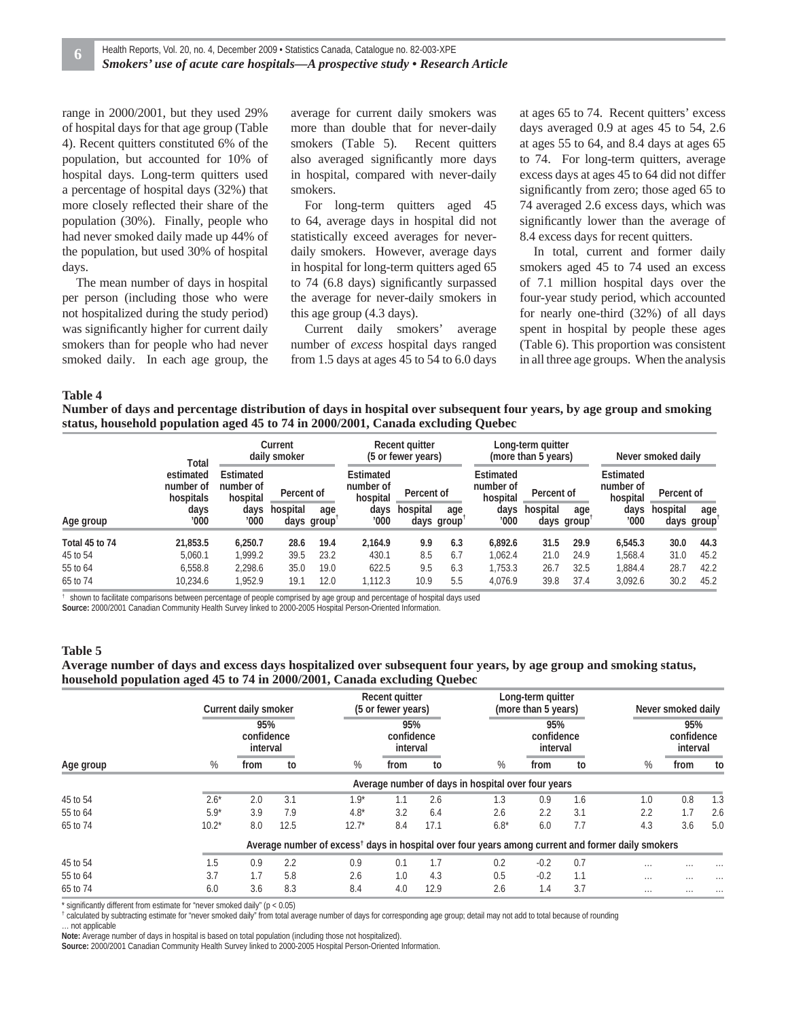range in 2000/2001, but they used 29% of hospital days for that age group (Table 4). Recent quitters constituted 6% of the population, but accounted for 10% of hospital days. Long-term quitters used a percentage of hospital days (32%) that more closely reflected their share of the population (30%). Finally, people who had never smoked daily made up 44% of the population, but used 30% of hospital days.

The mean number of days in hospital per person (including those who were not hospitalized during the study period) was significantly higher for current daily smokers than for people who had never smoked daily. In each age group, the

average for current daily smokers was more than double that for never-daily smokers (Table 5). Recent quitters also averaged significantly more days in hospital, compared with never-daily smokers.

For long-term quitters aged 45 to 64, average days in hospital did not statistically exceed averages for neverdaily smokers. However, average days in hospital for long-term quitters aged 65 to  $74$  (6.8 days) significantly surpassed the average for never-daily smokers in this age group (4.3 days).

Current daily smokers' average number of *excess* hospital days ranged from 1.5 days at ages 45 to 54 to 6.0 days at ages 65 to 74. Recent quitters' excess days averaged 0.9 at ages 45 to 54, 2.6 at ages 55 to 64, and 8.4 days at ages 65 to 74. For long-term quitters, average excess days at ages 45 to 64 did not differ significantly from zero; those aged 65 to 74 averaged 2.6 excess days, which was significantly lower than the average of 8.4 excess days for recent quitters.

In total, current and former daily smokers aged 45 to 74 used an excess of 7.1 million hospital days over the four-year study period, which accounted for nearly one-third (32%) of all days spent in hospital by people these ages (Table 6). This proportion was consistent in all three age groups. When the analysis

#### **Table 4**

**Number of days and percentage distribution of days in hospital over subsequent four years, by age group and smoking status, household population aged 45 to 74 in 2000/2001, Canada excluding Quebec**

|                            | Total                                               |                                    | Current<br>daily smoker |                   |                                    | Recent quitter<br>(5 or fewer years) |                   |                                    | Long-term guitter<br>(more than 5 years) |                   | Never smoked daily                 |              |                   |
|----------------------------|-----------------------------------------------------|------------------------------------|-------------------------|-------------------|------------------------------------|--------------------------------------|-------------------|------------------------------------|------------------------------------------|-------------------|------------------------------------|--------------|-------------------|
|                            | estimated<br>number of<br>hospitals<br>days<br>'000 | Estimated<br>number of<br>hospital | Percent of              |                   | Estimated<br>number of<br>hospital | Percent of                           |                   | Estimated<br>number of<br>hospital | Percent of                               |                   | Estimated<br>number of<br>hospital | Percent of   |                   |
| Age group                  |                                                     | days<br>'000                       | hospital                | age<br>days group | days<br>'000                       | hospital                             | age<br>days group | days<br>'000                       | hospital                                 | age<br>days group | days<br>'000                       | hospital     | age<br>days group |
| Total 45 to 74<br>45 to 54 | 21.853.5<br>5.060.1                                 | 6.250.7<br>.999.2                  | 28.6<br>39.5            | 19.4<br>23.2      | 2.164.9<br>430.1                   | 9.9<br>8.5                           | 6.3<br>6.7        | 6.892.6<br>1.062.4                 | 31.5<br>21.0                             | 29.9<br>24.9      | 6,545.3<br>1.568.4                 | 30.0<br>31.0 | 44.3<br>45.2      |
| 55 to 64<br>65 to 74       | 6,558.8<br>10,234.6                                 | 2,298.6<br>1.952.9                 | 35.0<br>19.1            | 19.0<br>12.0      | 622.5<br>,112.3                    | 9.5<br>10.9                          | 6.3<br>5.5        | 1,753.3<br>4,076.9                 | 26.7<br>39.8                             | 32.5<br>37.4      | 1,884.4<br>3,092.6                 | 28.7<br>30.2 | 42.2<br>45.2      |

† shown to facilitate comparisons between percentage of people comprised by age group and percentage of hospital days used

**Source:** 2000/2001 Canadian Community Health Survey linked to 2000-2005 Hospital Person-Oriented Information.

#### **Table 5**

#### **Average number of days and excess days hospitalized over subsequent four years, by age group and smoking status, household population aged 45 to 74 in 2000/2001, Canada excluding Quebec**

|           |         | Current daily smoker          |      |                                                                                                               |        | Recent quitter<br>(5 or fewer years) |                               | Long-term quitter<br>(more than 5 years) |        |                                                    |     | Never smoked daily |          |                               |          |
|-----------|---------|-------------------------------|------|---------------------------------------------------------------------------------------------------------------|--------|--------------------------------------|-------------------------------|------------------------------------------|--------|----------------------------------------------------|-----|--------------------|----------|-------------------------------|----------|
|           |         | 95%<br>confidence<br>interval |      |                                                                                                               |        |                                      | 95%<br>confidence<br>interval |                                          |        | 95%<br>confidence<br>interval                      |     |                    |          | 95%<br>confidence<br>interval |          |
| Age group | %       | from                          | to   |                                                                                                               | %      | from                                 | to                            |                                          | %      | from                                               | to  |                    | %        | from                          | to       |
|           |         |                               |      |                                                                                                               |        |                                      |                               |                                          |        | Average number of days in hospital over four years |     |                    |          |                               |          |
| 45 to 54  | $2.6*$  | 2.0                           | 3.1  |                                                                                                               | $1.9*$ | 1.1                                  | 2.6                           |                                          | 1.3    | 0.9                                                | 1.6 |                    | 1.0      | 0.8                           | 1.3      |
| 55 to 64  | $5.9*$  | 3.9                           | 7.9  | $4.8*$                                                                                                        |        | 3.2                                  | 6.4                           |                                          | 2.6    | 2.2                                                | 3.1 |                    | 2.2      | 1.7                           | 2.6      |
| 65 to 74  | $10.2*$ | 8.0                           | 12.5 | $12.7*$                                                                                                       |        | 8.4                                  | 17.1                          |                                          | $6.8*$ | 6.0                                                | 7.7 |                    | 4.3      | 3.6                           | 5.0      |
|           |         |                               |      | Average number of excess <sup>†</sup> days in hospital over four years among current and former daily smokers |        |                                      |                               |                                          |        |                                                    |     |                    |          |                               |          |
| 45 to 54  | 1.5     | 0.9                           | 2.2  | 0.9                                                                                                           |        | 0.1                                  | 1.7                           |                                          | 0.2    | $-0.2$                                             | 0.7 |                    | $\cdots$ |                               |          |
| 55 to 64  | 3.7     | 1.7                           | 5.8  | 2.6                                                                                                           |        | 1.0                                  | 4.3                           |                                          | 0.5    | $-0.2$                                             | 1.1 |                    | $\cdots$ | $\cdots$                      | $\cdots$ |
| 65 to 74  | 6.0     | 3.6                           | 8.3  | 8.4                                                                                                           |        | 4.0                                  | 12.9                          |                                          | 2.6    | 1.4                                                | 3.7 |                    | $\cdots$ | $\cdots$                      |          |

\* significantly different from estimate for "never smoked daily" (p <  $0.05$ )

† calculated by subtracting estimate for "never smoked daily" from total average number of days for corresponding age group; detail may not add to total because of rounding

… not applicable

**Note:** Average number of days in hospital is based on total population (including those not hospitalized).

**Source:** 2000/2001 Canadian Community Health Survey linked to 2000-2005 Hospital Person-Oriented Information.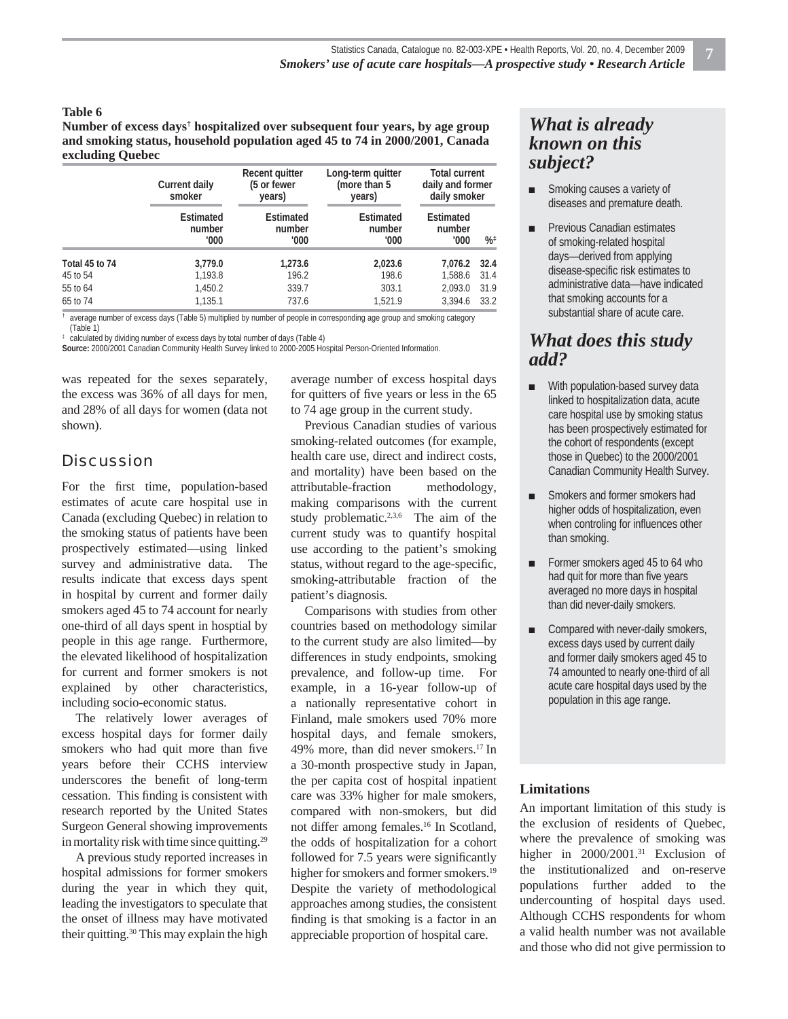#### **Table 6**

#### **Number of excess days**†  **hospitalized over subsequent four years, by age group and smoking status, household population aged 45 to 74 in 2000/2001, Canada excluding Quebec**

|                | Current daily<br>smoker     | Recent quitter<br>(5 or fewer<br>years) | Long-term quitter<br>(more than 5<br>years) | <b>Total current</b><br>daily and former<br>daily smoker |               |  |  |
|----------------|-----------------------------|-----------------------------------------|---------------------------------------------|----------------------------------------------------------|---------------|--|--|
|                | Estimated<br>number<br>'000 | Estimated<br>number<br>'000             | Estimated<br>number<br>'000                 | Estimated<br>number<br>'000                              | $%^{\dagger}$ |  |  |
| Total 45 to 74 | 3,779.0                     | 1,273.6                                 | 2,023.6                                     | 7.076.2                                                  | 32.4          |  |  |
| 45 to 54       | 1,193.8                     | 196.2                                   | 198.6                                       | 1,588.6                                                  | 31.4          |  |  |
| 55 to 64       | 1.450.2                     | 339.7                                   | 303.1                                       | 2.093.0                                                  | 31.9          |  |  |
| 65 to 74       | 1.135.1                     | 737.6                                   | 1.521.9                                     | 3.394.6                                                  | 33.2          |  |  |

† average number of excess days (Table 5) multiplied by number of people in corresponding age group and smoking category (Table 1)

‡ calculated by dividing number of excess days by total number of days (Table 4)

**Source:** 2000/2001 Canadian Community Health Survey linked to 2000-2005 Hospital Person-Oriented Information.

was repeated for the sexes separately, the excess was 36% of all days for men, and 28% of all days for women (data not shown).

## **Discussion**

For the first time, population-based estimates of acute care hospital use in Canada (excluding Quebec) in relation to the smoking status of patients have been prospectively estimated—using linked survey and administrative data. The results indicate that excess days spent in hospital by current and former daily smokers aged 45 to 74 account for nearly one-third of all days spent in hosptial by people in this age range. Furthermore, the elevated likelihood of hospitalization for current and former smokers is not explained by other characteristics, including socio-economic status.

The relatively lower averages of excess hospital days for former daily smokers who had quit more than five years before their CCHS interview underscores the benefit of long-term cessation. This finding is consistent with research reported by the United States Surgeon General showing improvements in mortality risk with time since quitting.29

A previous study reported increases in hospital admissions for former smokers during the year in which they quit, leading the investigators to speculate that the onset of illness may have motivated their quitting.30 This may explain the high

average number of excess hospital days for quitters of five years or less in the 65 to 74 age group in the current study.

Previous Canadian studies of various smoking-related outcomes (for example, health care use, direct and indirect costs, and mortality) have been based on the attributable-fraction methodology, making comparisons with the current study problematic.<sup>2,3,6</sup> The aim of the current study was to quantify hospital use according to the patient's smoking status, without regard to the age-specific, smoking-attributable fraction of the patient's diagnosis.

Comparisons with studies from other countries based on methodology similar to the current study are also limited—by differences in study endpoints, smoking prevalence, and follow-up time. For example, in a 16-year follow-up of a nationally representative cohort in Finland, male smokers used 70% more hospital days, and female smokers, 49% more, than did never smokers.17 In a 30-month prospective study in Japan, the per capita cost of hospital inpatient care was 33% higher for male smokers, compared with non-smokers, but did not differ among females.16 In Scotland, the odds of hospitalization for a cohort followed for 7.5 years were significantly higher for smokers and former smokers.<sup>19</sup> Despite the variety of methodological approaches among studies, the consistent finding is that smoking is a factor in an appreciable proportion of hospital care.

## *What is already known on this subject?*

- Smoking causes a variety of diseases and premature death.
- Previous Canadian estimates of smoking-related hospital days—derived from applying disease-specific risk estimates to administrative data—have indicated that smoking accounts for a substantial share of acute care.

## *What does this study add?*

- With population-based survey data linked to hospitalization data, acute care hospital use by smoking status has been prospectively estimated for the cohort of respondents (except those in Quebec) to the 2000/2001 Canadian Community Health Survey.
- **■** Smokers and former smokers had higher odds of hospitalization, even when controling for influences other than smoking.
- Former smokers aged 45 to 64 who had quit for more than five years averaged no more days in hospital than did never-daily smokers.
- Compared with never-daily smokers, excess days used by current daily and former daily smokers aged 45 to 74 amounted to nearly one-third of all acute care hospital days used by the population in this age range.

#### **Limitations**

An important limitation of this study is the exclusion of residents of Quebec, where the prevalence of smoking was higher in 2000/2001.<sup>31</sup> Exclusion of the institutionalized and on-reserve populations further added to the undercounting of hospital days used. Although CCHS respondents for whom a valid health number was not available and those who did not give permission to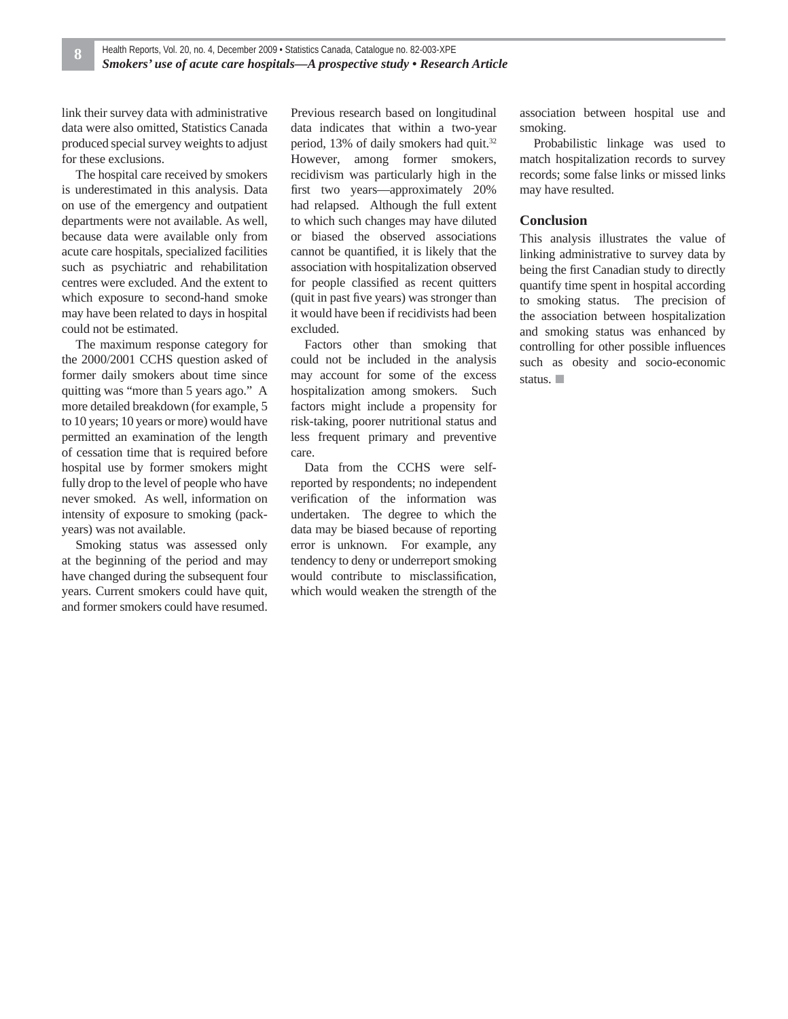link their survey data with administrative data were also omitted, Statistics Canada produced special survey weights to adjust for these exclusions.

The hospital care received by smokers is underestimated in this analysis. Data on use of the emergency and outpatient departments were not available. As well, because data were available only from acute care hospitals, specialized facilities such as psychiatric and rehabilitation centres were excluded. And the extent to which exposure to second-hand smoke may have been related to days in hospital could not be estimated.

The maximum response category for the 2000/2001 CCHS question asked of former daily smokers about time since quitting was "more than 5 years ago." A more detailed breakdown (for example, 5 to 10 years; 10 years or more) would have permitted an examination of the length of cessation time that is required before hospital use by former smokers might fully drop to the level of people who have never smoked. As well, information on intensity of exposure to smoking (packyears) was not available.

Smoking status was assessed only at the beginning of the period and may have changed during the subsequent four years. Current smokers could have quit, and former smokers could have resumed.

Previous research based on longitudinal data indicates that within a two-year period, 13% of daily smokers had quit.<sup>32</sup> However, among former smokers, recidivism was particularly high in the first two years—approximately 20% had relapsed. Although the full extent to which such changes may have diluted or biased the observed associations cannot be quantified, it is likely that the association with hospitalization observed for people classified as recent quitters (quit in past five years) was stronger than it would have been if recidivists had been excluded.

Factors other than smoking that could not be included in the analysis may account for some of the excess hospitalization among smokers. Such factors might include a propensity for risk-taking, poorer nutritional status and less frequent primary and preventive care.

Data from the CCHS were selfreported by respondents; no independent verification of the information was undertaken. The degree to which the data may be biased because of reporting error is unknown. For example, any tendency to deny or underreport smoking would contribute to misclassification, which would weaken the strength of the association between hospital use and smoking.

Probabilistic linkage was used to match hospitalization records to survey records; some false links or missed links may have resulted.

#### **Conclusion**

This analysis illustrates the value of linking administrative to survey data by being the first Canadian study to directly quantify time spent in hospital according to smoking status. The precision of the association between hospitalization and smoking status was enhanced by controlling for other possible influences such as obesity and socio-economic status. ■